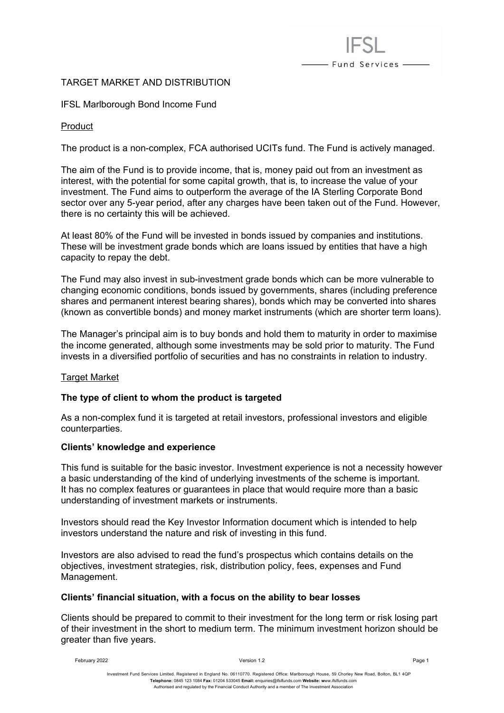# TARGET MARKET AND DISTRIBUTION

## IFSL Marlborough Bond Income Fund

### Product

The product is a non-complex, FCA authorised UCITs fund. The Fund is actively managed.

- Fund Services -

The aim of the Fund is to provide income, that is, money paid out from an investment as interest, with the potential for some capital growth, that is, to increase the value of your investment. The Fund aims to outperform the average of the IA Sterling Corporate Bond sector over any 5-year period, after any charges have been taken out of the Fund. However, there is no certainty this will be achieved.

At least 80% of the Fund will be invested in bonds issued by companies and institutions. These will be investment grade bonds which are loans issued by entities that have a high capacity to repay the debt.

The Fund may also invest in sub-investment grade bonds which can be more vulnerable to changing economic conditions, bonds issued by governments, shares (including preference shares and permanent interest bearing shares), bonds which may be converted into shares (known as convertible bonds) and money market instruments (which are shorter term loans).

The Manager's principal aim is to buy bonds and hold them to maturity in order to maximise the income generated, although some investments may be sold prior to maturity. The Fund invests in a diversified portfolio of securities and has no constraints in relation to industry.

#### **Target Market**

#### **The type of client to whom the product is targeted**

As a non-complex fund it is targeted at retail investors, professional investors and eligible counterparties.

#### **Clients' knowledge and experience**

This fund is suitable for the basic investor. Investment experience is not a necessity however a basic understanding of the kind of underlying investments of the scheme is important. It has no complex features or guarantees in place that would require more than a basic understanding of investment markets or instruments.

Investors should read the Key Investor Information document which is intended to help investors understand the nature and risk of investing in this fund.

Investors are also advised to read the fund's prospectus which contains details on the objectives, investment strategies, risk, distribution policy, fees, expenses and Fund Management.

#### **Clients' financial situation, with a focus on the ability to bear losses**

Clients should be prepared to commit to their investment for the long term or risk losing part of their investment in the short to medium term. The minimum investment horizon should be greater than five years.

February 2022 Version 1.2 Page 1